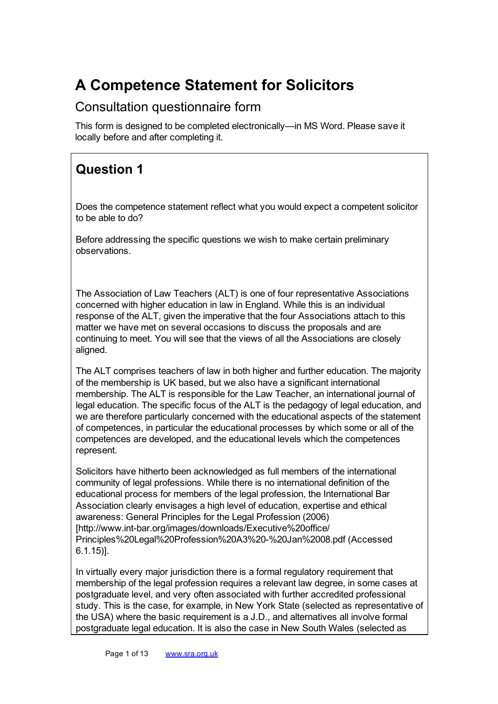# A Competence Statement for Solicitors

#### Consultation questionnaire form

This form is designed to be completed electronically—in MS Word. Please save it locally before and after completing it.

# Question 1

Does the competence statement reflect what you would expect a competent solicitor to be able to do?

Before addressing the specific questions we wish to make certain preliminary observations.

The Association of Law Teachers (ALT) is one of four representative Associations concerned with higher education in law in England. While this is an individual response of the ALT, given the imperative that the four Associations attach to this matter we have met on several occasions to discuss the proposals and are continuing to meet. You will see that the views of all the Associations are closely aligned.

The ALT comprises teachers of law in both higher and further education. The majority of the membership is UK based, but we also have a significant international membership. The ALT is responsible for the Law Teacher, an international journal of legal education. The specific focus of the ALT is the pedagogy of legal education, and we are therefore particularly concerned with the educational aspects of the statement of competences, in particular the educational processes by which some or all of the competences are developed, and the educational levels which the competences represent.

Solicitors have hitherto been acknowledged as full members of the international community of legal professions. While there is no international definition of the educational process for members of the legal profession, the International Bar Association clearly envisages a high level of education, expertise and ethical awareness: General Principles for the Legal Profession (2006) [http://www.int-bar.org/images/downloads/Executive%20office/ Principles%20Legal%20Profession%20A3%20-%20Jan%2008.pdf (Accessed 6.1.15)].

In virtually every major jurisdiction there is a formal regulatory requirement that membership of the legal profession requires a relevant law degree, in some cases at postgraduate level, and very often associated with further accredited professional study. This is the case, for example, in New York State (selected as representative of the USA) where the basic requirement is a J.D., and alternatives all involve formal postgraduate legal education. It is also the case in New South Wales (selected as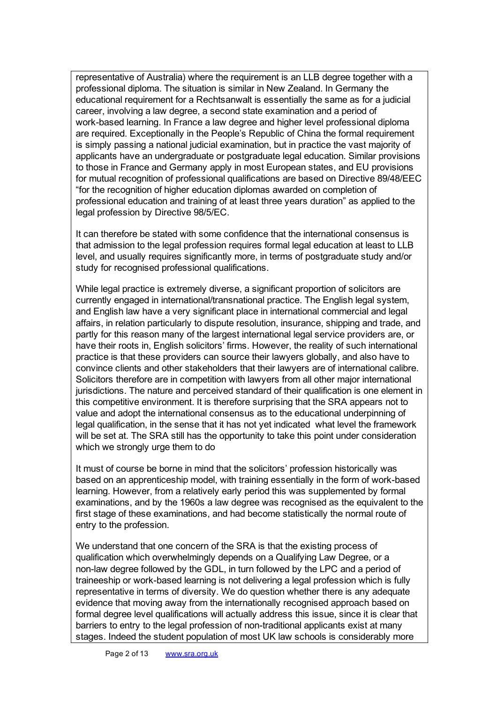representative of Australia) where the requirement is an LLB degree together with a professional diploma. The situation is similar in New Zealand. In Germany the educational requirement for a Rechtsanwalt is essentially the same as for a judicial career, involving a law degree, a second state examination and a period of work-based learning. In France a law degree and higher level professional diploma are required. Exceptionally in the People's Republic of China the formal requirement is simply passing a national judicial examination, but in practice the vast majority of applicants have an undergraduate or postgraduate legal education. Similar provisions to those in France and Germany apply in most European states, and EU provisions for mutual recognition of professional qualifications are based on Directive 89/48/EEC "for the recognition of higher education diplomas awarded on completion of professional education and training of at least three years duration" as applied to the legal profession by Directive 98/5/EC.

It can therefore be stated with some confidence that the international consensus is that admission to the legal profession requires formal legal education at least to LLB level, and usually requires significantly more, in terms of postgraduate study and/or study for recognised professional qualifications.

While legal practice is extremely diverse, a significant proportion of solicitors are currently engaged in international/transnational practice. The English legal system, and English law have a very significant place in international commercial and legal affairs, in relation particularly to dispute resolution, insurance, shipping and trade, and partly for this reason many of the largest international legal service providers are, or have their roots in, English solicitors' firms. However, the reality of such international practice is that these providers can source their lawyers globally, and also have to convince clients and other stakeholders that their lawyers are of international calibre. Solicitors therefore are in competition with lawyers from all other major international jurisdictions. The nature and perceived standard of their qualification is one element in this competitive environment. It is therefore surprising that the SRA appears not to value and adopt the international consensus as to the educational underpinning of legal qualification, in the sense that it has not yet indicated what level the framework will be set at. The SRA still has the opportunity to take this point under consideration which we strongly urge them to do

It must of course be borne in mind that the solicitors' profession historically was based on an apprenticeship model, with training essentially in the form of work-based learning. However, from a relatively early period this was supplemented by formal examinations, and by the 1960s a law degree was recognised as the equivalent to the first stage of these examinations, and had become statistically the normal route of entry to the profession.

We understand that one concern of the SRA is that the existing process of qualification which overwhelmingly depends on a Qualifying Law Degree, or a non-law degree followed by the GDL, in turn followed by the LPC and a period of traineeship or work-based learning is not delivering a legal profession which is fully representative in terms of diversity. We do question whether there is any adequate evidence that moving away from the internationally recognised approach based on formal degree level qualifications will actually address this issue, since it is clear that barriers to entry to the legal profession of non-traditional applicants exist at many stages. Indeed the student population of most UK law schools is considerably more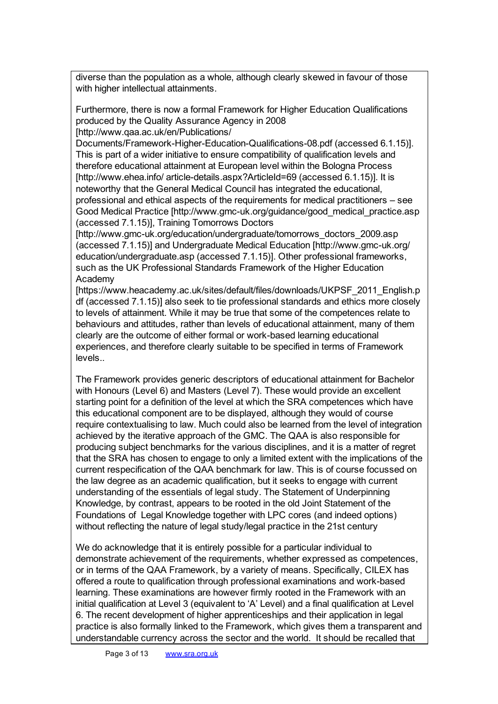diverse than the population as a whole, although clearly skewed in favour of those with higher intellectual attainments.

Furthermore, there is now a formal Framework for Higher Education Qualifications produced by the Quality Assurance Agency in 2008 [http://www.qaa.ac.uk/en/Publications/

Documents/Framework-Higher-Education-Qualifications-08.pdf (accessed 6.1.15)]. This is part of a wider initiative to ensure compatibility of qualification levels and therefore educational attainment at European level within the Bologna Process [http://www.ehea.info/ article-details.aspx?ArticleId=69 (accessed 6.1.15)]. It is noteworthy that the General Medical Council has integrated the educational, professional and ethical aspects of the requirements for medical practitioners – see Good Medical Practice [http://www.gmc-uk.org/guidance/good\_medical\_practice.asp (accessed 7.1.15)], Training Tomorrows Doctors

[http://www.gmc-uk.org/education/undergraduate/tomorrows\_doctors\_2009.asp (accessed 7.1.15)] and Undergraduate Medical Education [http://www.gmc-uk.org/ education/undergraduate.asp (accessed 7.1.15)]. Other professional frameworks, such as the UK Professional Standards Framework of the Higher Education Academy

[https://www.heacademy.ac.uk/sites/default/files/downloads/UKPSF\_2011\_English.p df (accessed 7.1.15)] also seek to tie professional standards and ethics more closely to levels of attainment. While it may be true that some of the competences relate to behaviours and attitudes, rather than levels of educational attainment, many of them clearly are the outcome of either formal or work-based learning educational experiences, and therefore clearly suitable to be specified in terms of Framework levels..

The Framework provides generic descriptors of educational attainment for Bachelor with Honours (Level 6) and Masters (Level 7). These would provide an excellent starting point for a definition of the level at which the SRA competences which have this educational component are to be displayed, although they would of course require contextualising to law. Much could also be learned from the level of integration achieved by the iterative approach of the GMC. The QAA is also responsible for producing subject benchmarks for the various disciplines, and it is a matter of regret that the SRA has chosen to engage to only a limited extent with the implications of the current respecification of the QAA benchmark for law. This is of course focussed on the law degree as an academic qualification, but it seeks to engage with current understanding of the essentials of legal study. The Statement of Underpinning Knowledge, by contrast, appears to be rooted in the old Joint Statement of the Foundations of Legal Knowledge together with LPC cores (and indeed options) without reflecting the nature of legal study/legal practice in the 21st century

We do acknowledge that it is entirely possible for a particular individual to demonstrate achievement of the requirements, whether expressed as competences, or in terms of the QAA Framework, by a variety of means. Specifically, CILEX has offered a route to qualification through professional examinations and work-based learning. These examinations are however firmly rooted in the Framework with an initial qualification at Level 3 (equivalent to 'A' Level) and a final qualification at Level 6. The recent development of higher apprenticeships and their application in legal practice is also formally linked to the Framework, which gives them a transparent and understandable currency across the sector and the world. It should be recalled that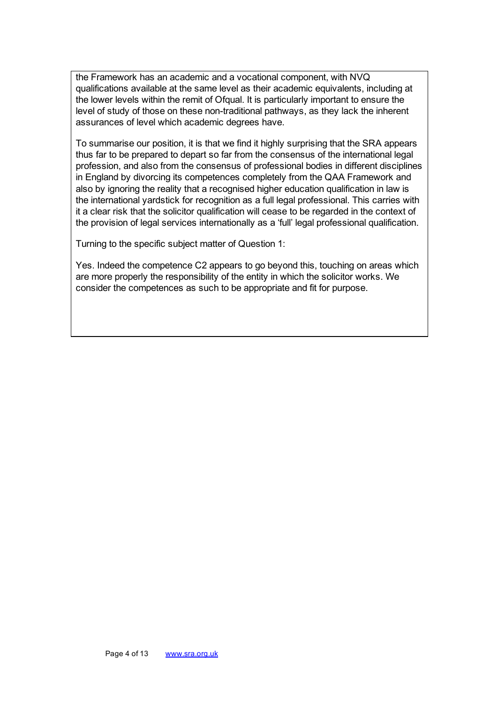the Framework has an academic and a vocational component, with NVQ qualifications available at the same level as their academic equivalents, including at the lower levels within the remit of Ofqual. It is particularly important to ensure the level of study of those on these non-traditional pathways, as they lack the inherent assurances of level which academic degrees have.

To summarise our position, it is that we find it highly surprising that the SRA appears thus far to be prepared to depart so far from the consensus of the international legal profession, and also from the consensus of professional bodies in different disciplines in England by divorcing its competences completely from the QAA Framework and also by ignoring the reality that a recognised higher education qualification in law is the international yardstick for recognition as a full legal professional. This carries with it a clear risk that the solicitor qualification will cease to be regarded in the context of the provision of legal services internationally as a 'full' legal professional qualification.

Turning to the specific subject matter of Question 1:

Yes. Indeed the competence C2 appears to go beyond this, touching on areas which are more properly the responsibility of the entity in which the solicitor works. We consider the competences as such to be appropriate and fit for purpose.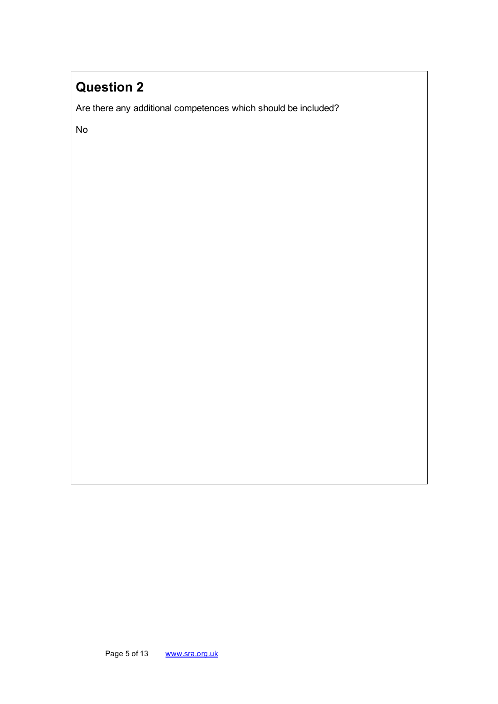Are there any additional competences which should be included?

No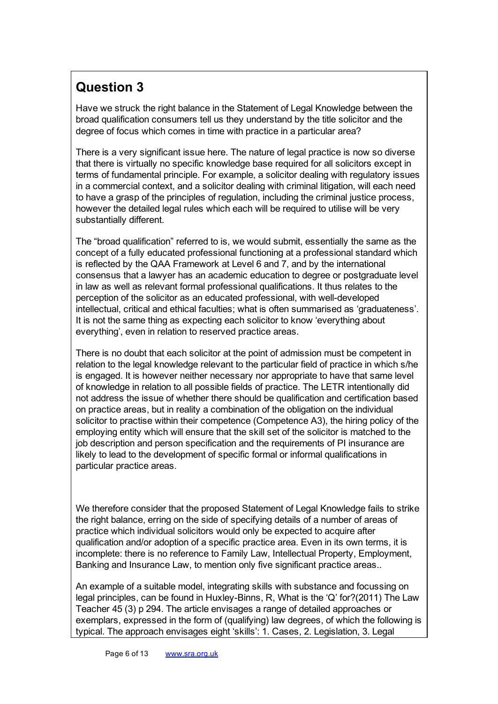Have we struck the right balance in the Statement of Legal Knowledge between the broad qualification consumers tell us they understand by the title solicitor and the degree of focus which comes in time with practice in a particular area?

There is a very significant issue here. The nature of legal practice is now so diverse that there is virtually no specific knowledge base required for all solicitors except in terms of fundamental principle. For example, a solicitor dealing with regulatory issues in a commercial context, and a solicitor dealing with criminal litigation, will each need to have a grasp of the principles of regulation, including the criminal justice process, however the detailed legal rules which each will be required to utilise will be very substantially different.

The "broad qualification" referred to is, we would submit, essentially the same as the concept of a fully educated professional functioning at a professional standard which is reflected by the QAA Framework at Level 6 and 7, and by the international consensus that a lawyer has an academic education to degree or postgraduate level in law as well as relevant formal professional qualifications. It thus relates to the perception of the solicitor as an educated professional, with well-developed intellectual, critical and ethical faculties; what is often summarised as 'graduateness'. It is not the same thing as expecting each solicitor to know 'everything about everything', even in relation to reserved practice areas.

There is no doubt that each solicitor at the point of admission must be competent in relation to the legal knowledge relevant to the particular field of practice in which s/he is engaged. It is however neither necessary nor appropriate to have that same level of knowledge in relation to all possible fields of practice. The LETR intentionally did not address the issue of whether there should be qualification and certification based on practice areas, but in reality a combination of the obligation on the individual solicitor to practise within their competence (Competence A3), the hiring policy of the employing entity which will ensure that the skill set of the solicitor is matched to the job description and person specification and the requirements of PI insurance are likely to lead to the development of specific formal or informal qualifications in particular practice areas.

We therefore consider that the proposed Statement of Legal Knowledge fails to strike the right balance, erring on the side of specifying details of a number of areas of practice which individual solicitors would only be expected to acquire after qualification and/or adoption of a specific practice area. Even in its own terms, it is incomplete: there is no reference to Family Law, Intellectual Property, Employment, Banking and Insurance Law, to mention only five significant practice areas..

An example of a suitable model, integrating skills with substance and focussing on legal principles, can be found in Huxley-Binns, R, What is the 'Q' for?(2011) The Law Teacher 45 (3) p 294. The article envisages a range of detailed approaches or exemplars, expressed in the form of (qualifying) law degrees, of which the following is typical. The approach envisages eight 'skills': 1. Cases, 2. Legislation, 3. Legal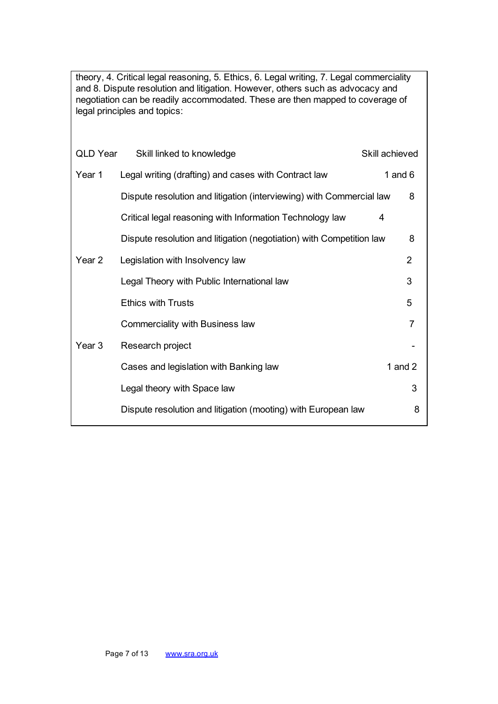theory, 4. Critical legal reasoning, 5. Ethics, 6. Legal writing, 7. Legal commerciality and 8. Dispute resolution and litigation. However, others such as advocacy and negotiation can be readily accommodated. These are then mapped to coverage of legal principles and topics:

| QLD Year          | Skill linked to knowledge                                            | Skill achieved |                |
|-------------------|----------------------------------------------------------------------|----------------|----------------|
| Year 1            | Legal writing (drafting) and cases with Contract law                 | 1 and $6$      |                |
|                   | Dispute resolution and litigation (interviewing) with Commercial law |                | 8              |
|                   | Critical legal reasoning with Information Technology law             | 4              |                |
|                   | Dispute resolution and litigation (negotiation) with Competition law |                | 8              |
| Year 2            | Legislation with Insolvency law                                      |                | $\overline{2}$ |
|                   | Legal Theory with Public International law                           |                | 3              |
|                   | <b>Ethics with Trusts</b>                                            |                | 5              |
|                   | Commerciality with Business law                                      |                | 7              |
| Year <sub>3</sub> | Research project                                                     |                |                |
|                   | Cases and legislation with Banking law                               |                | 1 and $2$      |
|                   | Legal theory with Space law                                          |                | 3              |
|                   | Dispute resolution and litigation (mooting) with European law        |                | 8              |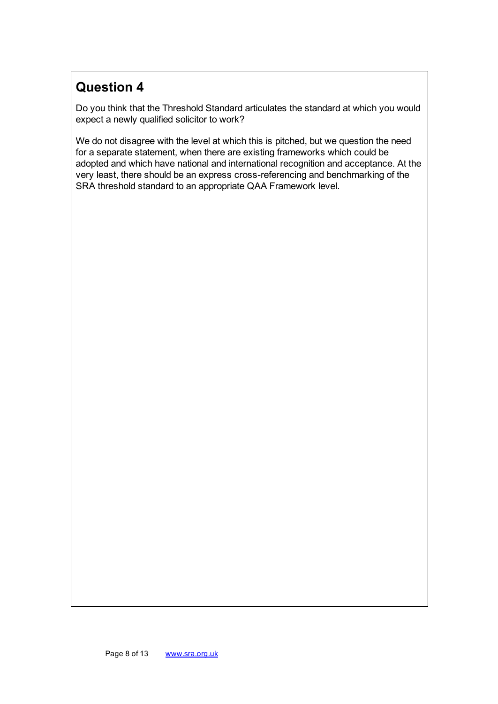Do you think that the Threshold Standard articulates the standard at which you would expect a newly qualified solicitor to work?

We do not disagree with the level at which this is pitched, but we question the need for a separate statement, when there are existing frameworks which could be adopted and which have national and international recognition and acceptance. At the very least, there should be an express cross-referencing and benchmarking of the SRA threshold standard to an appropriate QAA Framework level.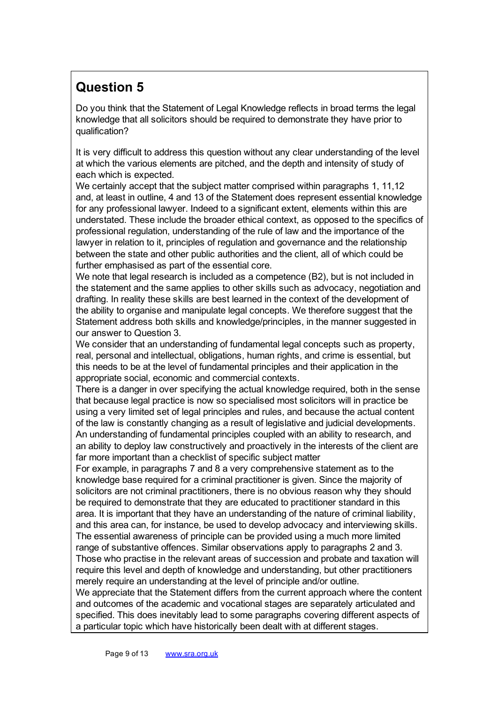Do you think that the Statement of Legal Knowledge reflects in broad terms the legal knowledge that all solicitors should be required to demonstrate they have prior to qualification?

It is very difficult to address this question without any clear understanding of the level at which the various elements are pitched, and the depth and intensity of study of each which is expected.

We certainly accept that the subject matter comprised within paragraphs 1, 11,12 and, at least in outline, 4 and 13 of the Statement does represent essential knowledge for any professional lawyer. Indeed to a significant extent, elements within this are understated. These include the broader ethical context, as opposed to the specifics of professional regulation, understanding of the rule of law and the importance of the lawyer in relation to it, principles of regulation and governance and the relationship between the state and other public authorities and the client, all of which could be further emphasised as part of the essential core.

We note that legal research is included as a competence (B2), but is not included in the statement and the same applies to other skills such as advocacy, negotiation and drafting. In reality these skills are best learned in the context of the development of the ability to organise and manipulate legal concepts. We therefore suggest that the Statement address both skills and knowledge/principles, in the manner suggested in our answer to Question 3.

We consider that an understanding of fundamental legal concepts such as property, real, personal and intellectual, obligations, human rights, and crime is essential, but this needs to be at the level of fundamental principles and their application in the appropriate social, economic and commercial contexts.

There is a danger in over specifying the actual knowledge required, both in the sense that because legal practice is now so specialised most solicitors will in practice be using a very limited set of legal principles and rules, and because the actual content of the law is constantly changing as a result of legislative and judicial developments. An understanding of fundamental principles coupled with an ability to research, and an ability to deploy law constructively and proactively in the interests of the client are far more important than a checklist of specific subject matter

For example, in paragraphs 7 and 8 a very comprehensive statement as to the knowledge base required for a criminal practitioner is given. Since the majority of solicitors are not criminal practitioners, there is no obvious reason why they should be required to demonstrate that they are educated to practitioner standard in this area. It is important that they have an understanding of the nature of criminal liability, and this area can, for instance, be used to develop advocacy and interviewing skills. The essential awareness of principle can be provided using a much more limited range of substantive offences. Similar observations apply to paragraphs 2 and 3. Those who practise in the relevant areas of succession and probate and taxation will require this level and depth of knowledge and understanding, but other practitioners merely require an understanding at the level of principle and/or outline.

We appreciate that the Statement differs from the current approach where the content and outcomes of the academic and vocational stages are separately articulated and specified. This does inevitably lead to some paragraphs covering different aspects of a particular topic which have historically been dealt with at different stages.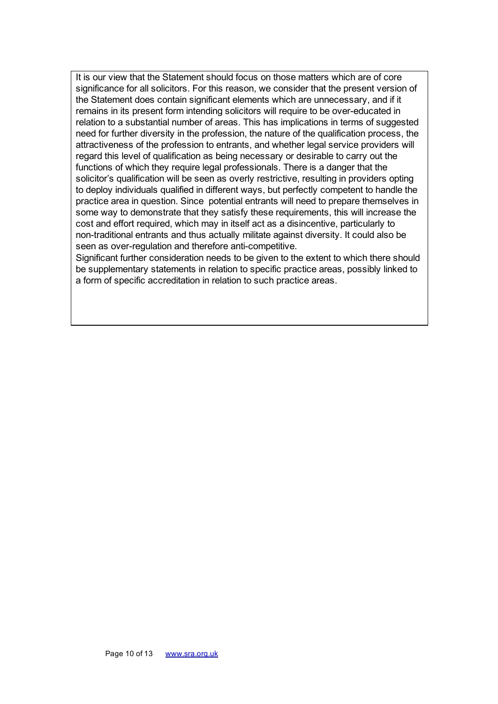It is our view that the Statement should focus on those matters which are of core significance for all solicitors. For this reason, we consider that the present version of the Statement does contain significant elements which are unnecessary, and if it remains in its present form intending solicitors will require to be over-educated in relation to a substantial number of areas. This has implications in terms of suggested need for further diversity in the profession, the nature of the qualification process, the attractiveness of the profession to entrants, and whether legal service providers will regard this level of qualification as being necessary or desirable to carry out the functions of which they require legal professionals. There is a danger that the solicitor's qualification will be seen as overly restrictive, resulting in providers opting to deploy individuals qualified in different ways, but perfectly competent to handle the practice area in question. Since potential entrants will need to prepare themselves in some way to demonstrate that they satisfy these requirements, this will increase the cost and effort required, which may in itself act as a disincentive, particularly to non-traditional entrants and thus actually militate against diversity. It could also be seen as over-regulation and therefore anti-competitive.

Significant further consideration needs to be given to the extent to which there should be supplementary statements in relation to specific practice areas, possibly linked to a form of specific accreditation in relation to such practice areas.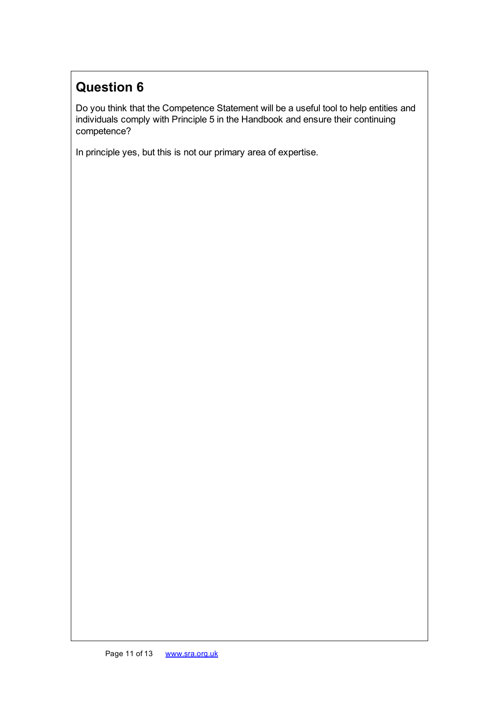Do you think that the Competence Statement will be a useful tool to help entities and individuals comply with Principle 5 in the Handbook and ensure their continuing competence?

In principle yes, but this is not our primary area of expertise.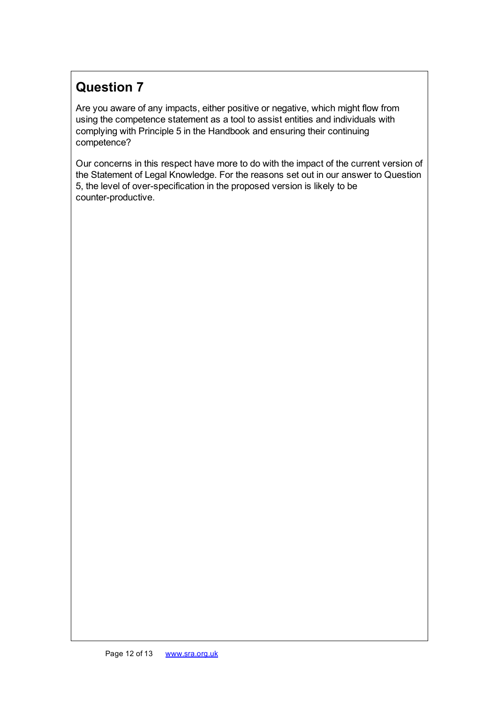Are you aware of any impacts, either positive or negative, which might flow from using the competence statement as a tool to assist entities and individuals with complying with Principle 5 in the Handbook and ensuring their continuing competence?

Our concerns in this respect have more to do with the impact of the current version of the Statement of Legal Knowledge. For the reasons set out in our answer to Question 5, the level of over-specification in the proposed version is likely to be counter-productive.